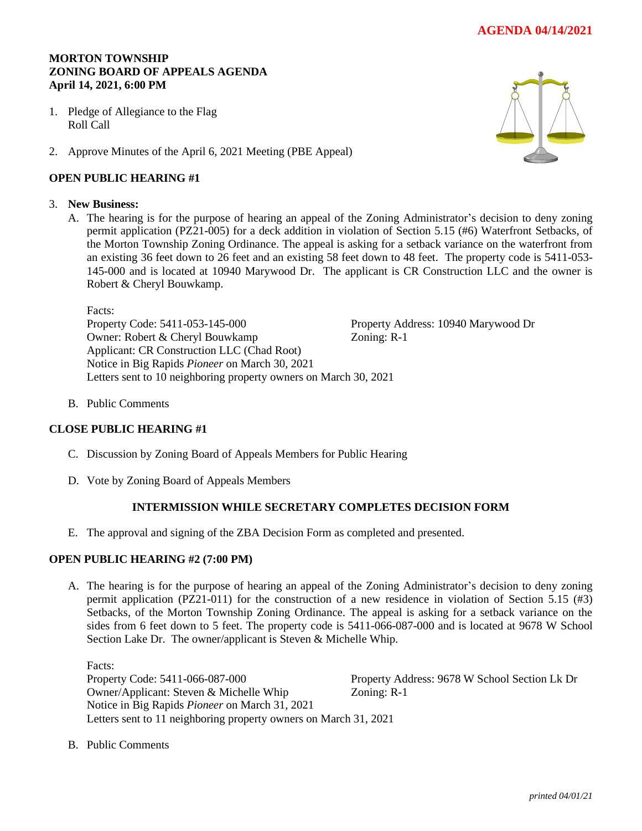# **AGENDA 04/14/2021**

# **MORTON TOWNSHIP ZONING BOARD OF APPEALS AGENDA April 14, 2021, 6:00 PM**

- 1. Pledge of Allegiance to the Flag Roll Call
- 2. Approve Minutes of the April 6, 2021 Meeting (PBE Appeal)

### **OPEN PUBLIC HEARING #1**

#### 3. **New Business:**

A. The hearing is for the purpose of hearing an appeal of the Zoning Administrator's decision to deny zoning permit application (PZ21-005) for a deck addition in violation of Section 5.15 (#6) Waterfront Setbacks, of the Morton Township Zoning Ordinance. The appeal is asking for a setback variance on the waterfront from an existing 36 feet down to 26 feet and an existing 58 feet down to 48 feet. The property code is 5411-053- 145-000 and is located at 10940 Marywood Dr. The applicant is CR Construction LLC and the owner is Robert & Cheryl Bouwkamp.

Facts:

Property Code: 5411-053-145-000 Property Address: 10940 Marywood Dr Owner: Robert & Cheryl Bouwkamp Zoning: R-1 Applicant: CR Construction LLC (Chad Root) Notice in Big Rapids *Pioneer* on March 30, 2021 Letters sent to 10 neighboring property owners on March 30, 2021

B. Public Comments

# **CLOSE PUBLIC HEARING #1**

- C. Discussion by Zoning Board of Appeals Members for Public Hearing
- D. Vote by Zoning Board of Appeals Members

# **INTERMISSION WHILE SECRETARY COMPLETES DECISION FORM**

E. The approval and signing of the ZBA Decision Form as completed and presented.

#### **OPEN PUBLIC HEARING #2 (7:00 PM)**

A. The hearing is for the purpose of hearing an appeal of the Zoning Administrator's decision to deny zoning permit application (PZ21-011) for the construction of a new residence in violation of Section 5.15 (#3) Setbacks, of the Morton Township Zoning Ordinance. The appeal is asking for a setback variance on the sides from 6 feet down to 5 feet. The property code is 5411-066-087-000 and is located at 9678 W School Section Lake Dr. The owner/applicant is Steven & Michelle Whip.

Facts: Property Code: 5411-066-087-000 Property Address: 9678 W School Section Lk Dr Owner/Applicant: Steven & Michelle Whip Zoning: R-1 Notice in Big Rapids *Pioneer* on March 31, 2021 Letters sent to 11 neighboring property owners on March 31, 2021

B. Public Comments